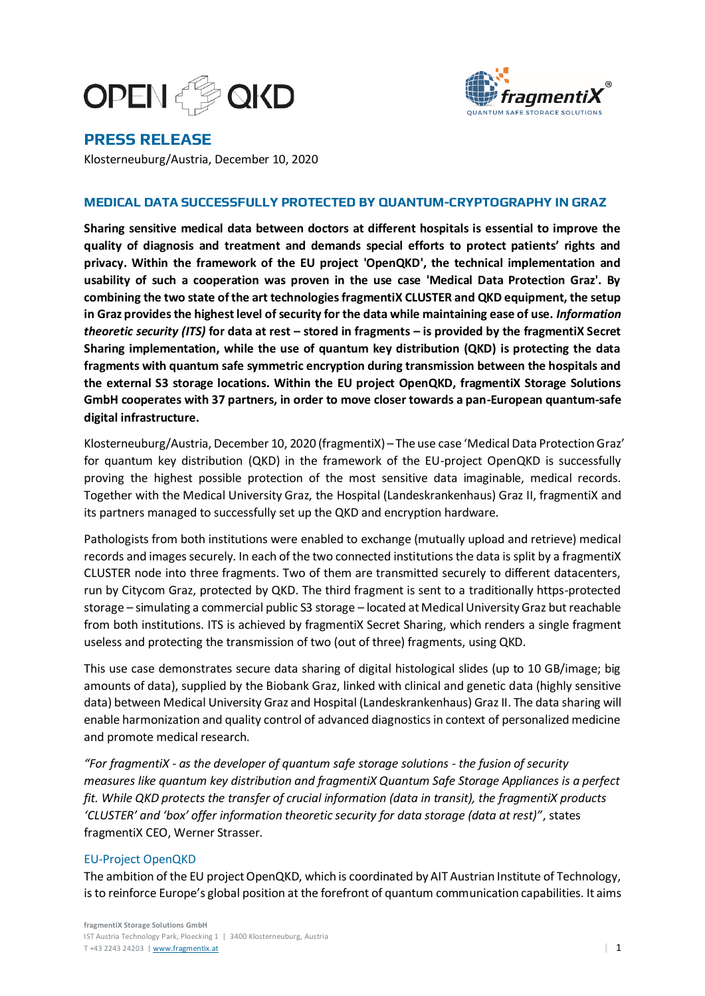



# **PRESS RELEASE**

Klosterneuburg/Austria, December 10, 2020

# **MEDICAL DATA SUCCESSFULLY PROTECTED BY QUANTUM-CRYPTOGRAPHY IN GRAZ**

**Sharing sensitive medical data between doctors at different hospitals is essential to improve the quality of diagnosis and treatment and demands special efforts to protect patients' rights and privacy. Within the framework of the EU project 'OpenQKD', the technical implementation and usability of such a cooperation was proven in the use case 'Medical Data Protection Graz'. By combining the two state of the art technologies fragmentiX CLUSTER and QKD equipment, the setup in Graz provides the highest level of security for the data while maintaining ease of use.** *Information theoretic security (ITS)* **for data at rest – stored in fragments – is provided by the fragmentiX Secret Sharing implementation, while the use of quantum key distribution (QKD) is protecting the data fragments with quantum safe symmetric encryption during transmission between the hospitals and the external S3 storage locations. Within the EU project OpenQKD, fragmentiX Storage Solutions GmbH cooperates with 37 partners, in order to move closer towards a pan-European quantum-safe digital infrastructure.**

Klosterneuburg/Austria, December 10, 2020 (fragmentiX) – The use case 'Medical Data Protection Graz' for quantum key distribution (QKD) in the framework of the EU-project OpenQKD is successfully proving the highest possible protection of the most sensitive data imaginable, medical records. Together with the Medical University Graz, the Hospital (Landeskrankenhaus) Graz II, fragmentiX and its partners managed to successfully set up the QKD and encryption hardware.

Pathologists from both institutions were enabled to exchange (mutually upload and retrieve) medical records and images securely. In each of the two connected institutionsthe data is split by a fragmentiX CLUSTER node into three fragments. Two of them are transmitted securely to different datacenters, run by Citycom Graz, protected by QKD. The third fragment is sent to a traditionally https-protected storage – simulating a commercial public S3 storage – located at Medical University Graz but reachable from both institutions. ITS is achieved by fragmentiX Secret Sharing, which renders a single fragment useless and protecting the transmission of two (out of three) fragments, using QKD.

This use case demonstrates secure data sharing of digital histological slides (up to 10 GB/image; big amounts of data), supplied by the Biobank Graz, linked with clinical and genetic data (highly sensitive data) between Medical University Graz and Hospital (Landeskrankenhaus) Graz II. The data sharing will enable harmonization and quality control of advanced diagnostics in context of personalized medicine and promote medical research.

*"For fragmentiX - as the developer of quantum safe storage solutions - the fusion of security measures like quantum key distribution and fragmentiX Quantum Safe Storage Appliances is a perfect fit. While QKD protects the transfer of crucial information (data in transit), the fragmentiX products 'CLUSTER' and 'box' offer information theoretic security for data storage (data at rest)"*, states fragmentiX CEO, Werner Strasser.

# EU-Project OpenQKD

The ambition of the EU project OpenQKD, which is coordinated by AIT Austrian Institute of Technology, is to reinforce Europe's global position at the forefront of quantum communication capabilities. It aims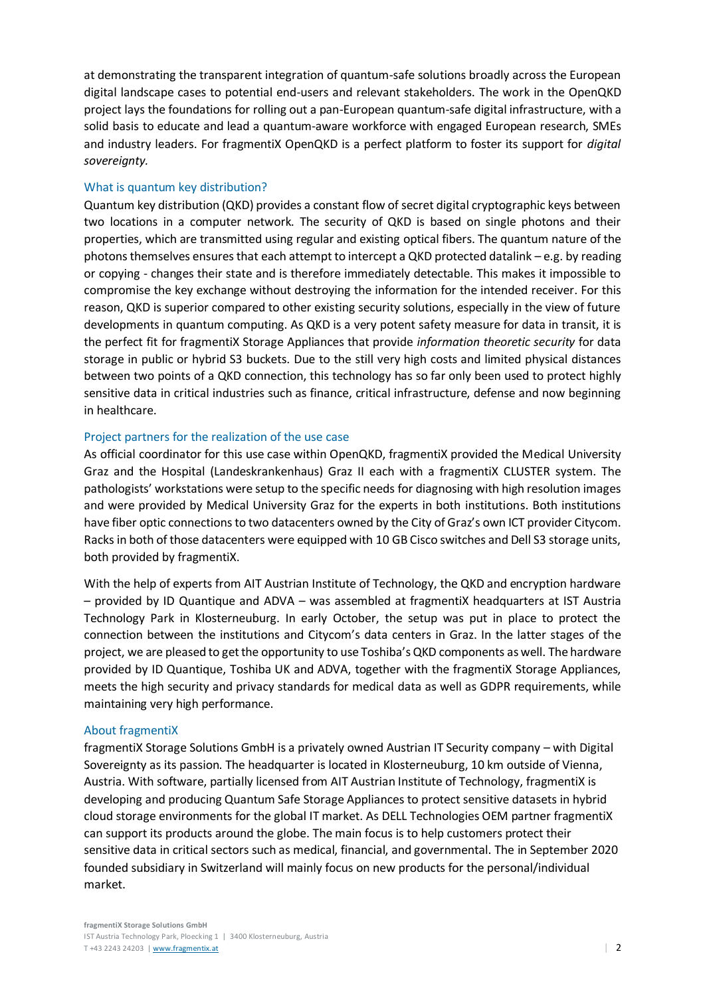at demonstrating the transparent integration of quantum-safe solutions broadly across the European digital landscape cases to potential end-users and relevant stakeholders. The work in the OpenQKD project lays the foundations for rolling out a pan-European quantum-safe digital infrastructure, with a solid basis to educate and lead a quantum-aware workforce with engaged European research, SMEs and industry leaders. For fragmentiX OpenQKD is a perfect platform to foster its support for *digital sovereignty.*

# What is quantum key distribution?

Quantum key distribution (QKD) provides a constant flow of secret digital cryptographic keys between two locations in a computer network. The security of QKD is based on single photons and their properties, which are transmitted using regular and existing optical fibers. The quantum nature of the photons themselves ensures that each attempt to intercept a QKD protected datalink – e.g. by reading or copying - changes their state and is therefore immediately detectable. This makes it impossible to compromise the key exchange without destroying the information for the intended receiver. For this reason, QKD is superior compared to other existing security solutions, especially in the view of future developments in quantum computing. As QKD is a very potent safety measure for data in transit, it is the perfect fit for fragmentiX Storage Appliances that provide *information theoretic security* for data storage in public or hybrid S3 buckets. Due to the still very high costs and limited physical distances between two points of a QKD connection, this technology has so far only been used to protect highly sensitive data in critical industries such as finance, critical infrastructure, defense and now beginning in healthcare.

#### Project partners for the realization of the use case

As official coordinator for this use case within OpenQKD, fragmentiX provided the Medical University Graz and the Hospital (Landeskrankenhaus) Graz II each with a fragmentiX CLUSTER system. The pathologists' workstations were setup to the specific needs for diagnosing with high resolution images and were provided by Medical University Graz for the experts in both institutions. Both institutions have fiber optic connections to two datacenters owned by the City of Graz's own ICT provider Citycom. Racks in both of those datacenters were equipped with 10 GB Cisco switches and Dell S3 storage units, both provided by fragmentiX.

With the help of experts from AIT Austrian Institute of Technology, the QKD and encryption hardware – provided by ID Quantique and ADVA – was assembled at fragmentiX headquarters at IST Austria Technology Park in Klosterneuburg. In early October, the setup was put in place to protect the connection between the institutions and Citycom's data centers in Graz. In the latter stages of the project, we are pleased to get the opportunity to use Toshiba's QKD components as well. The hardware provided by ID Quantique, Toshiba UK and ADVA, together with the fragmentiX Storage Appliances, meets the high security and privacy standards for medical data as well as GDPR requirements, while maintaining very high performance.

# About fragmentiX

fragmentiX Storage Solutions GmbH is a privately owned Austrian IT Security company – with Digital Sovereignty as its passion. The headquarter is located in Klosterneuburg, 10 km outside of Vienna, Austria. With software, partially licensed from AIT Austrian Institute of Technology, fragmentiX is developing and producing Quantum Safe Storage Appliances to protect sensitive datasets in hybrid cloud storage environments for the global IT market. As DELL Technologies OEM partner fragmentiX can support its products around the globe. The main focus is to help customers protect their sensitive data in critical sectors such as medical, financial, and governmental. The in September 2020 founded subsidiary in Switzerland will mainly focus on new products for the personal/individual market.